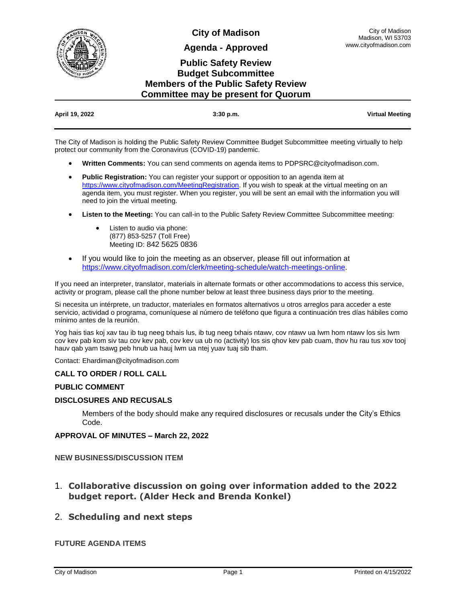

**City of Madison**

**Agenda - Approved**

# **Public Safety Review Budget Subcommittee Members of the Public Safety Review Committee may be present for Quorum**

| April 19, 2022 | $3:30$ p.m. | <b>Virtual Meeting</b> |
|----------------|-------------|------------------------|

The City of Madison is holding the Public Safety Review Committee Budget Subcommittee meeting virtually to help protect our community from the Coronavirus (COVID-19) pandemic.

- **Written Comments:** You can send comments on agenda items to PDPSRC@cityofmadison.com.
- **Public Registration:** You can register your support or opposition to an agenda item at [https://www.cityofmadison.com/MeetingRegistration.](https://www.cityofmadison.com/MeetingRegistration) If you wish to speak at the virtual meeting on an agenda item, you must register. When you register, you will be sent an email with the information you will need to join the virtual meeting.
- **Listen to the Meeting:** You can call-in to the Public Safety Review Committee Subcommittee meeting:
	- Listen to audio via phone: (877) 853-5257 (Toll Free) Meeting ID: 842 5625 0836
- If you would like to join the meeting as an observer, please fill out information at [https://www.cityofmadison.com/clerk/meeting-schedule/watch-meetings-online.](https://www.cityofmadison.com/clerk/meeting-schedule/watch-meetings-online)

If you need an interpreter, translator, materials in alternate formats or other accommodations to access this service, activity or program, please call the phone number below at least three business days prior to the meeting.

Si necesita un intérprete, un traductor, materiales en formatos alternativos u otros arreglos para acceder a este servicio, actividad o programa, comuníquese al número de teléfono que figura a continuación tres días hábiles como mínimo antes de la reunión.

Yog hais tias koj xav tau ib tug neeg txhais lus, ib tug neeg txhais ntawv, cov ntawv ua lwm hom ntawv los sis lwm cov kev pab kom siv tau cov kev pab, cov kev ua ub no (activity) los sis qhov kev pab cuam, thov hu rau tus xov tooj hauv qab yam tsawg peb hnub ua hauj lwm ua ntej yuav tuaj sib tham.

Contact: Ehardiman@cityofmadison.com

#### **CALL TO ORDER / ROLL CALL**

#### **PUBLIC COMMENT**

#### **DISCLOSURES AND RECUSALS**

Members of the body should make any required disclosures or recusals under the City's Ethics Code.

#### **APPROVAL OF MINUTES – March 22, 2022**

#### **NEW BUSINESS/DISCUSSION ITEM**

1. **Collaborative discussion on going over information added to the 2022 budget report. (Alder Heck and Brenda Konkel)**

### 2. **Scheduling and next steps**

#### **FUTURE AGENDA ITEMS**

City of Madison Madison, WI 53703 www.cityofmadison.com